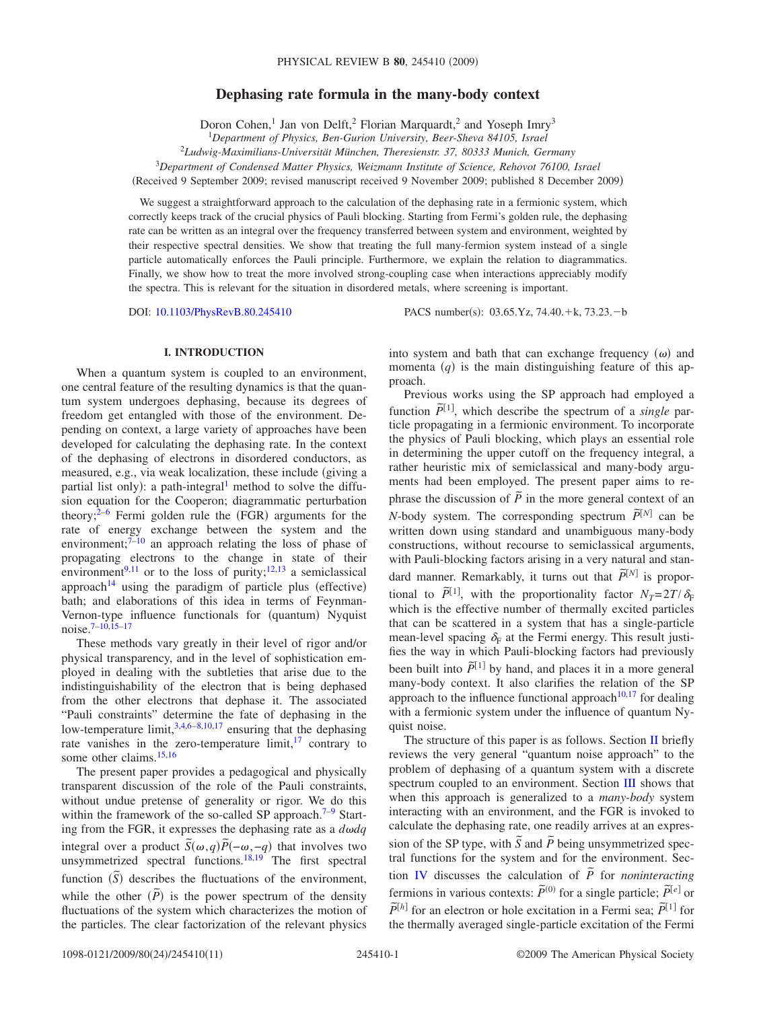# **Dephasing rate formula in the many-body context**

Doron Cohen,<sup>1</sup> Jan von Delft,<sup>2</sup> Florian Marquardt,<sup>2</sup> and Yoseph Imry<sup>3</sup>

1 *Department of Physics, Ben-Gurion University, Beer-Sheva 84105, Israel*

2 *Ludwig-Maximilians-Universität München, Theresienstr. 37, 80333 Munich, Germany*

<sup>3</sup>*Department of Condensed Matter Physics, Weizmann Institute of Science, Rehovot 76100, Israel*

Received 9 September 2009; revised manuscript received 9 November 2009; published 8 December 2009-

We suggest a straightforward approach to the calculation of the dephasing rate in a fermionic system, which correctly keeps track of the crucial physics of Pauli blocking. Starting from Fermi's golden rule, the dephasing rate can be written as an integral over the frequency transferred between system and environment, weighted by their respective spectral densities. We show that treating the full many-fermion system instead of a single particle automatically enforces the Pauli principle. Furthermore, we explain the relation to diagrammatics. Finally, we show how to treat the more involved strong-coupling case when interactions appreciably modify the spectra. This is relevant for the situation in disordered metals, where screening is important.

DOI: [10.1103/PhysRevB.80.245410](http://dx.doi.org/10.1103/PhysRevB.80.245410)

:  $03.65.Yz$ , 74.40. + k, 73.23. - b

## **I. INTRODUCTION**

When a quantum system is coupled to an environment, one central feature of the resulting dynamics is that the quantum system undergoes dephasing, because its degrees of freedom get entangled with those of the environment. Depending on context, a large variety of approaches have been developed for calculating the dephasing rate. In the context of the dephasing of electrons in disordered conductors, as measured, e.g., via weak localization, these include (giving a partial list only): a path-integral<sup>1</sup> method to solve the diffusion equation for the Cooperon; diagrammatic perturbation theory; $2^{-6}$  $2^{-6}$  $2^{-6}$  Fermi golden rule the (FGR) arguments for the rate of energy exchange between the system and the environment; $7-10$  $7-10$  an approach relating the loss of phase of propagating electrons to the change in state of their environment<sup>9[,11](#page-10-6)</sup> or to the loss of purity;<sup>12[,13](#page-10-8)</sup> a semiclassical approach<sup>14</sup> using the paradigm of particle plus (effective) bath; and elaborations of this idea in terms of Feynman-Vernon-type influence functionals for (quantum) Nyquist noise[.7–](#page-10-3)[10,](#page-10-4)[15–](#page-10-10)[17](#page-10-11)

These methods vary greatly in their level of rigor and/or physical transparency, and in the level of sophistication employed in dealing with the subtleties that arise due to the indistinguishability of the electron that is being dephased from the other electrons that dephase it. The associated "Pauli constraints" determine the fate of dephasing in the low-temperature limit,  $3,4,6-8,10,17$  $3,4,6-8,10,17$  $3,4,6-8,10,17$  $3,4,6-8,10,17$  $3,4,6-8,10,17$  $3,4,6-8,10,17$  ensuring that the dephasing rate vanishes in the zero-temperature  $\lim_{t \to \infty} \frac{1}{t}$  contrary to some other claims.<sup>15[,16](#page-10-15)</sup>

The present paper provides a pedagogical and physically transparent discussion of the role of the Pauli constraints, without undue pretense of generality or rigor. We do this within the framework of the so-called SP approach.<sup>7–[9](#page-10-5)</sup> Starting from the FGR, it expresses the dephasing rate as a  $d\omega dq$ integral over a product  $\tilde{S}(\omega, q)\tilde{P}(-\omega, -q)$  that involves two unsymmetrized spectral functions. $18,19$  $18,19$  The first spectral  $\lim_{\delta \to 0} \frac{\sin \delta}{\delta}$  describes the fluctuations of the environment, while the other  $(\tilde{P})$  is the power spectrum of the density fluctuations of the system which characterizes the motion of the particles. The clear factorization of the relevant physics

into system and bath that can exchange frequency  $(\omega)$  and momenta  $(q)$  is the main distinguishing feature of this approach.

Previous works using the SP approach had employed a function  $\tilde{P}^{[1]}$ , which describe the spectrum of a *single* particle propagating in a fermionic environment. To incorporate the physics of Pauli blocking, which plays an essential role in determining the upper cutoff on the frequency integral, a rather heuristic mix of semiclassical and many-body arguments had been employed. The present paper aims to rephrase the discussion of  $\tilde{P}$  in the more general context of an *N*-body system. The corresponding spectrum  $\tilde{P}^{[N]}$  can be written down using standard and unambiguous many-body constructions, without recourse to semiclassical arguments, with Pauli-blocking factors arising in a very natural and standard manner. Remarkably, it turns out that  $\tilde{P}^{[N]}$  is proportional to  $\tilde{P}^{[1]}$ , with the proportionality factor  $N_T=2T/\delta_F$ which is the effective number of thermally excited particles that can be scattered in a system that has a single-particle mean-level spacing  $\delta_F$  at the Fermi energy. This result justifies the way in which Pauli-blocking factors had previously been built into  $\tilde{P}^{[1]}$  by hand, and places it in a more general many-body context. It also clarifies the relation of the SP approach to the influence functional approach<sup>10[,17](#page-10-11)</sup> for dealing with a fermionic system under the influence of quantum Nyquist noise.

The structure of this paper is as follows. Section [II](#page-1-0) briefly reviews the very general "quantum noise approach" to the problem of dephasing of a quantum system with a discrete spectrum coupled to an environment. Section [III](#page-2-0) shows that when this approach is generalized to a *many-body* system interacting with an environment, and the FGR is invoked to calculate the dephasing rate, one readily arrives at an expression of the SP type, with  $\tilde{S}$  and  $\tilde{P}$  being unsymmetrized spectral functions for the system and for the environment. Sec-tion [IV](#page-3-0) discusses the calculation of  $\tilde{P}$  for *noninteracting* fermions in various contexts:  $\tilde{P}^{(0)}$  for a single particle;  $\tilde{P}^{[e]}$  or  $\tilde{P}^{[h]}$  for an electron or hole excitation in a Fermi sea;  $\tilde{P}^{[1]}$  for the thermally averaged single-particle excitation of the Fermi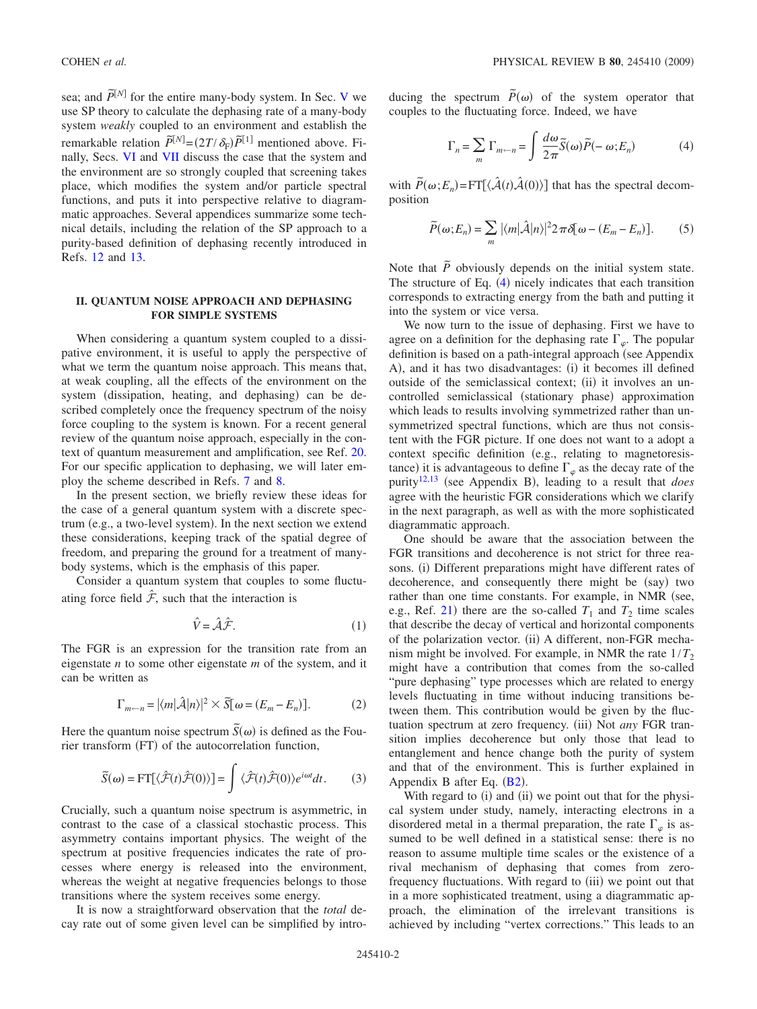sea; and  $\tilde{P}^{[N]}$  for the entire many-body system. In Sec. [V](#page-5-0) we use SP theory to calculate the dephasing rate of a many-body system *weakly* coupled to an environment and establish the remarkable relation  $\widetilde{P}^{[N]} = (2T/\delta_{\rm F})\widetilde{P}^{[1]}$  mentioned above. Finally, Secs. [VI](#page-6-0) and [VII](#page-7-0) discuss the case that the system and the environment are so strongly coupled that screening takes place, which modifies the system and/or particle spectral functions, and puts it into perspective relative to diagrammatic approaches. Several appendices summarize some technical details, including the relation of the SP approach to a purity-based definition of dephasing recently introduced in Refs. [12](#page-10-7) and [13.](#page-10-8)

# <span id="page-1-0"></span>**II. QUANTUM NOISE APPROACH AND DEPHASING FOR SIMPLE SYSTEMS**

When considering a quantum system coupled to a dissipative environment, it is useful to apply the perspective of what we term the quantum noise approach. This means that, at weak coupling, all the effects of the environment on the system (dissipation, heating, and dephasing) can be described completely once the frequency spectrum of the noisy force coupling to the system is known. For a recent general review of the quantum noise approach, especially in the context of quantum measurement and amplification, see Ref. [20.](#page-10-18) For our specific application to dephasing, we will later employ the scheme described in Refs. [7](#page-10-3) and [8.](#page-10-14)

In the present section, we briefly review these ideas for the case of a general quantum system with a discrete spectrum (e.g., a two-level system). In the next section we extend these considerations, keeping track of the spatial degree of freedom, and preparing the ground for a treatment of manybody systems, which is the emphasis of this paper.

Consider a quantum system that couples to some fluctuating force field  $\hat{\mathcal{F}}$ , such that the interaction is

$$
\hat{V} = \hat{\mathcal{A}}\hat{\mathcal{F}}.\tag{1}
$$

The FGR is an expression for the transition rate from an eigenstate *n* to some other eigenstate *m* of the system, and it can be written as

$$
\Gamma_{m\leftarrow n} = |\langle m|\hat{\mathcal{A}}|n\rangle|^2 \times \tilde{S}[\omega = (E_m - E_n)].
$$
 (2)

Here the quantum noise spectrum  $\tilde{S}(\omega)$  is defined as the Fourier transform (FT) of the autocorrelation function,

$$
\widetilde{S}(\omega) = \text{FT}[\langle \hat{\mathcal{F}}(t)\hat{\mathcal{F}}(0)\rangle] = \int \langle \hat{\mathcal{F}}(t)\hat{\mathcal{F}}(0)\rangle e^{i\omega t} dt. \tag{3}
$$

Crucially, such a quantum noise spectrum is asymmetric, in contrast to the case of a classical stochastic process. This asymmetry contains important physics. The weight of the spectrum at positive frequencies indicates the rate of processes where energy is released into the environment, whereas the weight at negative frequencies belongs to those transitions where the system receives some energy.

It is now a straightforward observation that the *total* decay rate out of some given level can be simplified by intro-

<span id="page-1-1"></span>ducing the spectrum  $\tilde{P}(\omega)$  of the system operator that couples to the fluctuating force. Indeed, we have

$$
\Gamma_n = \sum_m \Gamma_{m \leftarrow n} = \int \frac{d\omega}{2\pi} \tilde{S}(\omega) \tilde{P}(-\omega; E_n)
$$
(4)

with  $\widetilde{P}(\omega; E_n) = \text{FT}[\langle \hat{\mathcal{A}}(t) \hat{\mathcal{A}}(0) \rangle]$  that has the spectral decomposition

$$
\widetilde{P}(\omega; E_n) = \sum_m |\langle m|\hat{\mathcal{A}}|n\rangle|^2 2\pi \delta[\omega - (E_m - E_n)].
$$
 (5)

Note that  $\tilde{P}$  obviously depends on the initial system state. The structure of Eq.  $(4)$  $(4)$  $(4)$  nicely indicates that each transition corresponds to extracting energy from the bath and putting it into the system or vice versa.

We now turn to the issue of dephasing. First we have to agree on a definition for the dephasing rate  $\Gamma_{\varphi}$ . The popular definition is based on a path-integral approach (see Appendix A), and it has two disadvantages: (i) it becomes ill defined outside of the semiclassical context; (ii) it involves an uncontrolled semiclassical (stationary phase) approximation which leads to results involving symmetrized rather than unsymmetrized spectral functions, which are thus not consistent with the FGR picture. If one does not want to a adopt a context specific definition (e.g., relating to magnetoresistance) it is advantageous to define  $\Gamma_{\varphi}$  as the decay rate of the purity<sup>12[,13](#page-10-8)</sup> (see Appendix B), leading to a result that *does* agree with the heuristic FGR considerations which we clarify in the next paragraph, as well as with the more sophisticated diagrammatic approach.

One should be aware that the association between the FGR transitions and decoherence is not strict for three reasons. (i) Different preparations might have different rates of decoherence, and consequently there might be (say) two rather than one time constants. For example, in NMR (see, e.g., Ref. [21](#page-10-19)) there are the so-called  $T_1$  and  $T_2$  time scales that describe the decay of vertical and horizontal components of the polarization vector. (ii) A different, non-FGR mechanism might be involved. For example, in NMR the rate  $1/T_2$ might have a contribution that comes from the so-called "pure dephasing" type processes which are related to energy levels fluctuating in time without inducing transitions between them. This contribution would be given by the fluctuation spectrum at zero frequency. (iii) Not *any* FGR transition implies decoherence but only those that lead to entanglement and hence change both the purity of system and that of the environment. This is further explained in Appendix B after Eq.  $(B2)$  $(B2)$  $(B2)$ .

With regard to (i) and (ii) we point out that for the physical system under study, namely, interacting electrons in a disordered metal in a thermal preparation, the rate  $\Gamma_{\varphi}$  is assumed to be well defined in a statistical sense: there is no reason to assume multiple time scales or the existence of a rival mechanism of dephasing that comes from zerofrequency fluctuations. With regard to (iii) we point out that in a more sophisticated treatment, using a diagrammatic approach, the elimination of the irrelevant transitions is achieved by including "vertex corrections." This leads to an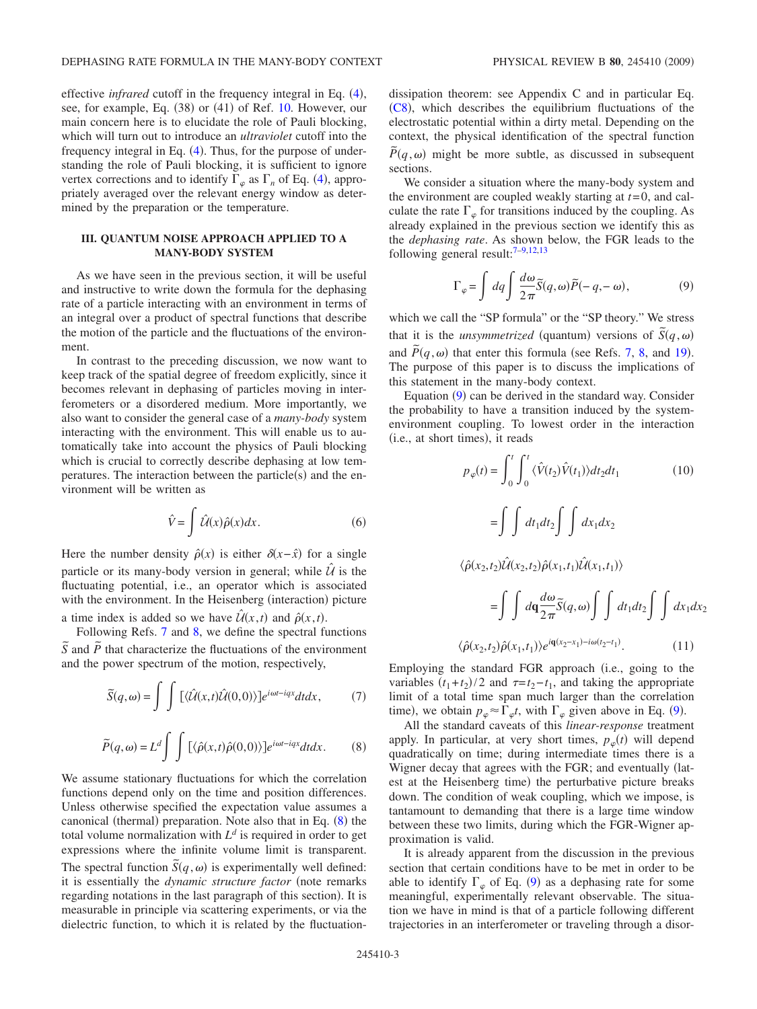effective *infrared* cutoff in the frequency integral in Eq. ([4](#page-1-1)), see, for example, Eq. (38) or (41) of Ref. [10.](#page-10-4) However, our main concern here is to elucidate the role of Pauli blocking, which will turn out to introduce an *ultraviolet* cutoff into the frequency integral in Eq.  $(4)$  $(4)$  $(4)$ . Thus, for the purpose of understanding the role of Pauli blocking, it is sufficient to ignore vertex corrections and to identify  $\Gamma_{\varphi}$  as  $\Gamma_n$  of Eq. ([4](#page-1-1)), appropriately averaged over the relevant energy window as determined by the preparation or the temperature.

## <span id="page-2-0"></span>**III. QUANTUM NOISE APPROACH APPLIED TO A MANY-BODY SYSTEM**

As we have seen in the previous section, it will be useful and instructive to write down the formula for the dephasing rate of a particle interacting with an environment in terms of an integral over a product of spectral functions that describe the motion of the particle and the fluctuations of the environment.

In contrast to the preceding discussion, we now want to keep track of the spatial degree of freedom explicitly, since it becomes relevant in dephasing of particles moving in interferometers or a disordered medium. More importantly, we also want to consider the general case of a *many-body* system interacting with the environment. This will enable us to automatically take into account the physics of Pauli blocking which is crucial to correctly describe dephasing at low temperatures. The interaction between the particle $(s)$  and the environment will be written as

$$
\hat{V} = \int \hat{\mathcal{U}}(x)\hat{\rho}(x)dx.
$$
\n(6)

Here the number density  $\hat{\rho}(x)$  is either  $\delta(x-\hat{x})$  for a single particle or its many-body version in general; while  $U_i$  is the fluctuating potential, i.e., an operator which is associated with the environment. In the Heisenberg (interaction) picture a time index is added so we have  $\hat{\mathcal{U}}(x,t)$  and  $\hat{\rho}(x,t)$ .

Following Refs. [7](#page-10-3) and [8,](#page-10-14) we define the spectral functions  $\overline{S}$  and  $\overline{P}$  that characterize the fluctuations of the environment and the power spectrum of the motion, respectively,

<span id="page-2-3"></span>
$$
\widetilde{S}(q,\omega) = \int \int \left[ \langle \hat{\mathcal{U}}(x,t) \hat{\mathcal{U}}(0,0) \rangle \right] e^{i\omega t - iqx} dt dx, \tag{7}
$$

<span id="page-2-1"></span>
$$
\widetilde{P}(q,\omega) = L^d \int \int \left[ \langle \hat{\rho}(x,t) \hat{\rho}(0,0) \rangle \right] e^{i\omega t - iqx} dt dx.
$$
 (8)

We assume stationary fluctuations for which the correlation functions depend only on the time and position differences. Unless otherwise specified the expectation value assumes a canonical (thermal) preparation. Note also that in Eq. ([8](#page-2-1)) the total volume normalization with  $L^d$  is required in order to get expressions where the infinite volume limit is transparent. The spectral function  $\tilde{S}(q,\omega)$  is experimentally well defined: it is essentially the *dynamic structure factor* (note remarks regarding notations in the last paragraph of this section). It is measurable in principle via scattering experiments, or via the dielectric function, to which it is related by the fluctuationdissipation theorem: see Appendix C and in particular Eq. ([C8](#page-9-1)), which describes the equilibrium fluctuations of the electrostatic potential within a dirty metal. Depending on the context, the physical identification of the spectral function  $\tilde{P}(q,\omega)$  might be more subtle, as discussed in subsequent sections.

We consider a situation where the many-body system and the environment are coupled weakly starting at *t*=0, and calculate the rate  $\Gamma_{\varphi}$  for transitions induced by the coupling. As already explained in the previous section we identify this as the *dephasing rate*. As shown below, the FGR leads to the following general result: $7-9,12,13$  $7-9,12,13$  $7-9,12,13$  $7-9,12,13$ 

$$
\Gamma_{\varphi} = \int dq \int \frac{d\omega}{2\pi} \tilde{S}(q,\omega) \tilde{P}(-q,-\omega),
$$
\n(9)

<span id="page-2-2"></span>which we call the "SP formula" or the "SP theory." We stress that it is the *unsymmetrized* (quantum) versions of  $\tilde{S}(q,\omega)$ and  $\tilde{P}(q,\omega)$  that enter this formula (see Refs. [7,](#page-10-3) [8,](#page-10-14) and [19](#page-10-17)). The purpose of this paper is to discuss the implications of this statement in the many-body context.

Equation ([9](#page-2-2)) can be derived in the standard way. Consider the probability to have a transition induced by the systemenvironment coupling. To lowest order in the interaction (i.e., at short times), it reads

$$
p_{\varphi}(t) = \int_{0}^{t} \int_{0}^{t} \langle \hat{V}(t_{2}) \hat{V}(t_{1}) \rangle dt_{2} dt_{1}
$$
 (10)  

$$
= \int \int dt_{1} dt_{2} \int \int dx_{1} dx_{2}
$$
  

$$
\langle \hat{\rho}(x_{2}, t_{2}) \hat{\mathcal{U}}(x_{2}, t_{2}) \hat{\rho}(x_{1}, t_{1}) \hat{\mathcal{U}}(x_{1}, t_{1}) \rangle
$$
  

$$
= \int \int d\mathbf{q} \frac{d\omega}{2\pi} \tilde{S}(q, \omega) \int \int dt_{1} dt_{2} \int \int dx_{1} dx_{2}
$$
  

$$
\langle \hat{\rho}(x_{2}, t_{2}) \hat{\rho}(x_{1}, t_{1}) \rangle e^{i\mathbf{q}(x_{2} - x_{1}) - i\omega(t_{2} - t_{1})}. \qquad (11)
$$

Employing the standard FGR approach i.e., going to the variables  $(t_1 + t_2)/2$  and  $\tau = t_2 - t_1$ , and taking the appropriate limit of a total time span much larger than the correlation time), we obtain  $p_{\varphi} \approx \Gamma_{\varphi} t$ , with  $\Gamma_{\varphi}$  given above in Eq. ([9](#page-2-2)).

All the standard caveats of this *linear-response* treatment apply. In particular, at very short times,  $p_{\varphi}(t)$  will depend quadratically on time; during intermediate times there is a Wigner decay that agrees with the FGR; and eventually (latest at the Heisenberg time) the perturbative picture breaks down. The condition of weak coupling, which we impose, is tantamount to demanding that there is a large time window between these two limits, during which the FGR-Wigner approximation is valid.

It is already apparent from the discussion in the previous section that certain conditions have to be met in order to be able to identify  $\Gamma_{\varphi}$  of Eq. ([9](#page-2-2)) as a dephasing rate for some meaningful, experimentally relevant observable. The situation we have in mind is that of a particle following different trajectories in an interferometer or traveling through a disor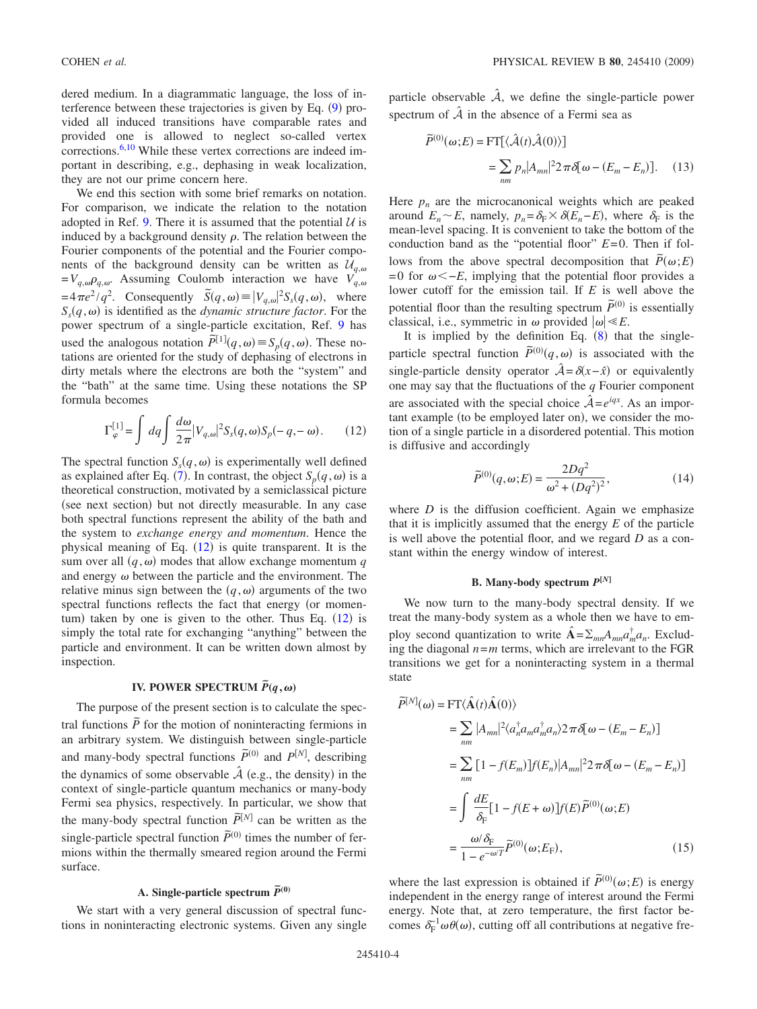dered medium. In a diagrammatic language, the loss of interference between these trajectories is given by Eq.  $(9)$  $(9)$  $(9)$  provided all induced transitions have comparable rates and provided one is allowed to neglect so-called vertex corrections.<sup>6,[10](#page-10-4)</sup> While these vertex corrections are indeed important in describing, e.g., dephasing in weak localization, they are not our prime concern here.

We end this section with some brief remarks on notation. For comparison, we indicate the relation to the notation adopted in Ref. [9.](#page-10-5) There it is assumed that the potential  $U$  is induced by a background density  $\rho$ . The relation between the Fourier components of the potential and the Fourier components of the background density can be written as  $U_{q,\omega}$  $=V_{q,\omega}\rho_{q,\omega}$ . Assuming Coulomb interaction we have  $V_{q,\omega}$  $=4\pi e^2/q^2$ . Consequently  $\tilde{S}(q,\omega) \equiv |V_{q,\omega}|^2 S_s(q,\omega)$ , where  $S_s(q,\omega)$  is identified as the *dynamic structure factor*. For the power spectrum of a single-particle excitation, Ref. [9](#page-10-5) has used the analogous notation  $\tilde{P}^{[1]}(q,\omega) \equiv S_p(q,\omega)$ . These notations are oriented for the study of dephasing of electrons in dirty metals where the electrons are both the "system" and the "bath" at the same time. Using these notations the SP formula becomes

<span id="page-3-1"></span>
$$
\Gamma_{\varphi}^{[1]} = \int dq \int \frac{d\omega}{2\pi} |V_{q,\omega}|^2 S_s(q,\omega) S_p(-q,-\omega). \tag{12}
$$

The spectral function  $S_s(q, \omega)$  is experimentally well defined as explained after Eq. ([7](#page-2-3)). In contrast, the object  $S_p(q, \omega)$  is a theoretical construction, motivated by a semiclassical picture (see next section) but not directly measurable. In any case both spectral functions represent the ability of the bath and the system to *exchange energy and momentum*. Hence the physical meaning of Eq.  $(12)$  $(12)$  $(12)$  is quite transparent. It is the sum over all  $(q, \omega)$  modes that allow exchange momentum q and energy  $\omega$  between the particle and the environment. The relative minus sign between the  $(q, \omega)$  arguments of the two spectral functions reflects the fact that energy (or momen-tum) taken by one is given to the other. Thus Eq. ([12](#page-3-1)) is simply the total rate for exchanging "anything" between the particle and environment. It can be written down almost by inspection.

# **IV. POWER SPECTRUM**  $\tilde{P}(q,\omega)$

<span id="page-3-0"></span>The purpose of the present section is to calculate the spectral functions  $\tilde{P}$  for the motion of noninteracting fermions in an arbitrary system. We distinguish between single-particle and many-body spectral functions  $\tilde{P}^{(0)}$  and  $P^{[N]}$ , describing the dynamics of some observable  $\hat{\mathcal{A}}$  (e.g., the density) in the context of single-particle quantum mechanics or many-body Fermi sea physics, respectively. In particular, we show that the many-body spectral function  $\tilde{P}^{[N]}$  can be written as the single-particle spectral function  $\tilde{P}^{(0)}$  times the number of fermions within the thermally smeared region around the Fermi surface.

# A. Single-particle spectrum  $\widetilde{P}^{(0)}$

We start with a very general discussion of spectral functions in noninteracting electronic systems. Given any single particle observable  $\hat{A}$ , we define the single-particle power spectrum of  $\hat{A}$  in the absence of a Fermi sea as

$$
\widetilde{P}^{(0)}(\omega;E) = \text{FT}[\langle \hat{\mathcal{A}}(t)\hat{\mathcal{A}}(0)\rangle] \n= \sum_{nm} p_n |A_{mn}|^2 2\pi \delta[\omega - (E_m - E_n)]. \quad (13)
$$

Here  $p_n$  are the microcanonical weights which are peaked around  $E_n \sim E$ , namely,  $p_n = \delta_F \times \delta(E_n - E)$ , where  $\delta_F$  is the mean-level spacing. It is convenient to take the bottom of the conduction band as the "potential floor" *E*=0. Then if follows from the above spectral decomposition that  $\tilde{P}(\omega;E)$  $=0$  for  $\omega \leq -E$ , implying that the potential floor provides a lower cutoff for the emission tail. If *E* is well above the potential floor than the resulting spectrum  $\tilde{P}^{(0)}$  is essentially classical, i.e., symmetric in  $\omega$  provided  $|\omega| \ll E$ .

It is implied by the definition Eq.  $(8)$  $(8)$  $(8)$  that the singleparticle spectral function  $\tilde{P}^{(0)}(q,\omega)$  is associated with the single-particle density operator  $\hat{A} = \delta(x - \hat{x})$  or equivalently one may say that the fluctuations of the *q* Fourier component are associated with the special choice  $\hat{A} = e^{iqx}$ . As an important example (to be employed later on), we consider the motion of a single particle in a disordered potential. This motion is diffusive and accordingly

$$
\tilde{P}^{(0)}(q,\omega;E) = \frac{2Dq^2}{\omega^2 + (Dq^2)^2},\tag{14}
$$

<span id="page-3-3"></span>where  $D$  is the diffusion coefficient. Again we emphasize that it is implicitly assumed that the energy *E* of the particle is well above the potential floor, and we regard *D* as a constant within the energy window of interest.

#### **B.** Many-body spectrum  $P^{[N]}$

We now turn to the many-body spectral density. If we treat the many-body system as a whole then we have to employ second quantization to write  $\hat{A} = \sum_{mn} A_{mn} a_m^{\dagger} a_n$ . Excluding the diagonal  $n=m$  terms, which are irrelevant to the FGR transitions we get for a noninteracting system in a thermal state

<span id="page-3-2"></span>
$$
\widetilde{P}^{[N]}(\omega) = \text{FT}\langle \hat{\mathbf{A}}(t)\hat{\mathbf{A}}(0)\rangle
$$
\n
$$
= \sum_{nm} |A_{mn}|^2 \langle a_n^{\dagger} a_m a_m^{\dagger} a_n \rangle 2 \pi \delta[\omega - (E_m - E_n)]
$$
\n
$$
= \sum_{nm} [1 - f(E_m)] f(E_n) |A_{mn}|^2 2 \pi \delta[\omega - (E_m - E_n)]
$$
\n
$$
= \int \frac{dE}{\delta_{\text{F}}} [1 - f(E + \omega)] f(E) \widetilde{P}^{(0)}(\omega; E)
$$
\n
$$
= \frac{\omega/\delta_{\text{F}}}{1 - e^{-\omega/T}} \widetilde{P}^{(0)}(\omega; E_{\text{F}}), \qquad (15)
$$

where the last expression is obtained if  $\tilde{P}^{(0)}(\omega;E)$  is energy independent in the energy range of interest around the Fermi energy. Note that, at zero temperature, the first factor becomes  $\delta_F^{-1} \omega \theta(\omega)$ , cutting off all contributions at negative fre-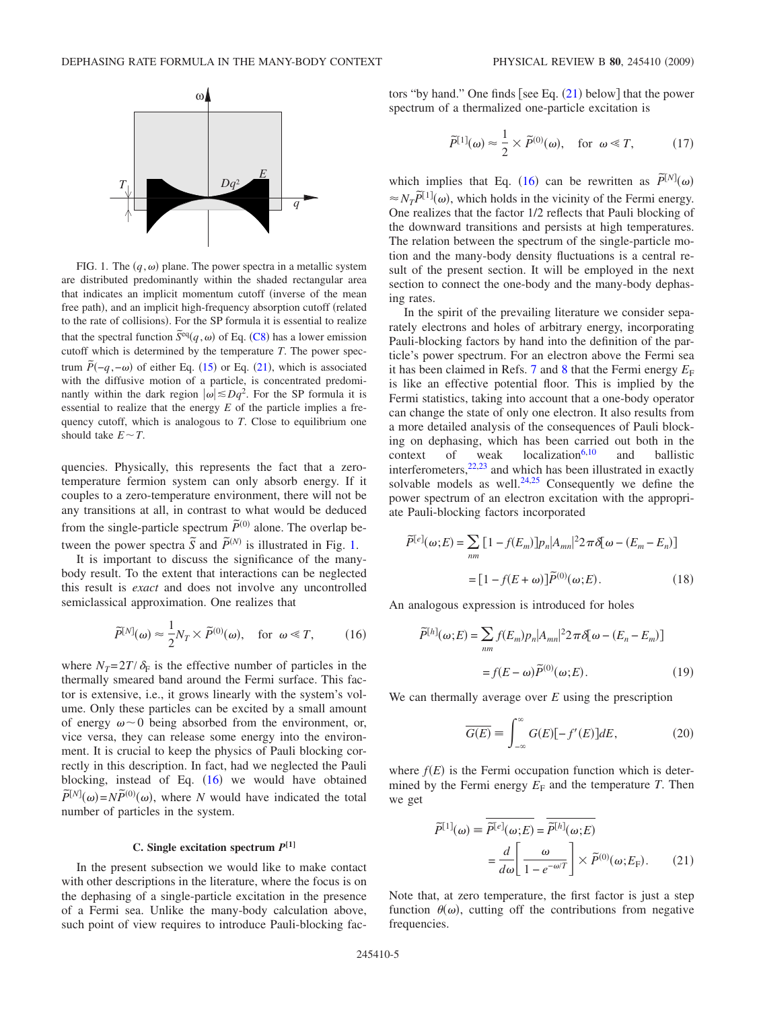<span id="page-4-0"></span>

FIG. 1. The  $(q, \omega)$  plane. The power spectra in a metallic system are distributed predominantly within the shaded rectangular area that indicates an implicit momentum cutoff inverse of the mean free path), and an implicit high-frequency absorption cutoff (related to the rate of collisions). For the SP formula it is essential to realize that the spectral function  $\tilde{S}^{\text{eq}}(q,\omega)$  of Eq. ([C8](#page-9-1)) has a lower emission cutoff which is determined by the temperature *T*. The power spectrum  $\tilde{P}(-q, -\omega)$  of either Eq. ([15](#page-3-2)) or Eq. ([21](#page-4-2)), which is associated with the diffusive motion of a particle, is concentrated predominantly within the dark region  $|\omega| \le Dq^2$ . For the SP formula it is essential to realize that the energy *E* of the particle implies a frequency cutoff, which is analogous to *T*. Close to equilibrium one should take  $E \sim T$ .

quencies. Physically, this represents the fact that a zerotemperature fermion system can only absorb energy. If it couples to a zero-temperature environment, there will not be any transitions at all, in contrast to what would be deduced from the single-particle spectrum  $\tilde{P}^{(0)}$  alone. The overlap between the power spectra  $\tilde{S}$  and  $\tilde{P}^{(N)}$  is illustrated in Fig. [1.](#page-4-0)

It is important to discuss the significance of the manybody result. To the extent that interactions can be neglected this result is *exact* and does not involve any uncontrolled semiclassical approximation. One realizes that

$$
\tilde{P}^{[N]}(\omega) \approx \frac{1}{2} N_T \times \tilde{P}^{(0)}(\omega), \quad \text{for } \omega \ll T,
$$
 (16)

<span id="page-4-1"></span>where  $N_T = 2T/\delta_F$  is the effective number of particles in the thermally smeared band around the Fermi surface. This factor is extensive, i.e., it grows linearly with the system's volume. Only these particles can be excited by a small amount of energy  $\omega \sim 0$  being absorbed from the environment, or, vice versa, they can release some energy into the environment. It is crucial to keep the physics of Pauli blocking correctly in this description. In fact, had we neglected the Pauli blocking, instead of Eq.  $(16)$  $(16)$  $(16)$  we would have obtained  $\tilde{P}^{[N]}(\omega) = N\tilde{P}^{(0)}(\omega)$ , where *N* would have indicated the total number of particles in the system.

# **C. Single excitation spectrum** *P***[1]**

In the present subsection we would like to make contact with other descriptions in the literature, where the focus is on the dephasing of a single-particle excitation in the presence of a Fermi sea. Unlike the many-body calculation above, such point of view requires to introduce Pauli-blocking fac-

<span id="page-4-5"></span>tors "by hand." One finds [see Eq.  $(21)$  $(21)$  $(21)$  below] that the power spectrum of a thermalized one-particle excitation is

$$
\tilde{P}^{[1]}(\omega) \approx \frac{1}{2} \times \tilde{P}^{(0)}(\omega), \quad \text{for } \omega \ll T,
$$
 (17)

which implies that Eq. ([16](#page-4-1)) can be rewritten as  $\tilde{P}^{[N]}(\omega)$  $\approx N_T \tilde{P}^{[1]}(\omega)$ , which holds in the vicinity of the Fermi energy. One realizes that the factor 1/2 reflects that Pauli blocking of the downward transitions and persists at high temperatures. The relation between the spectrum of the single-particle motion and the many-body density fluctuations is a central result of the present section. It will be employed in the next section to connect the one-body and the many-body dephasing rates.

In the spirit of the prevailing literature we consider separately electrons and holes of arbitrary energy, incorporating Pauli-blocking factors by hand into the definition of the particle's power spectrum. For an electron above the Fermi sea it has been claimed in Refs. [7](#page-10-3) and [8](#page-10-14) that the Fermi energy  $E_F$ is like an effective potential floor. This is implied by the Fermi statistics, taking into account that a one-body operator can change the state of only one electron. It also results from a more detailed analysis of the consequences of Pauli blocking on dephasing, which has been carried out both in the context of weak  $localization<sup>6,10</sup>$  $localization<sup>6,10</sup>$  $localization<sup>6,10</sup>$  and ballistic interferometers, $22,23$  $22,23$  and which has been illustrated in exactly solvable models as well.<sup>24[,25](#page-10-23)</sup> Consequently we define the power spectrum of an electron excitation with the appropriate Pauli-blocking factors incorporated

<span id="page-4-3"></span>
$$
\widetilde{P}^{[e]}(\omega;E) = \sum_{nm} \left[ 1 - f(E_m) \right] p_n |A_{mn}|^2 2 \pi \delta[\omega - (E_m - E_n)]
$$

$$
= \left[ 1 - f(E + \omega) \right] \widetilde{P}^{(0)}(\omega;E). \tag{18}
$$

<span id="page-4-4"></span>An analogous expression is introduced for holes

$$
\widetilde{P}^{[h]}(\omega;E) = \sum_{nm} f(E_m) p_n |A_{mn}|^2 2 \pi \delta[\omega - (E_n - E_m)]
$$

$$
= f(E - \omega) \widetilde{P}^{(0)}(\omega;E).
$$
(19)

We can thermally average over *E* using the prescription

$$
\overline{G(E)} \equiv \int_{-\infty}^{\infty} G(E) [-f'(E)] dE, \qquad (20)
$$

where  $f(E)$  is the Fermi occupation function which is determined by the Fermi energy  $E_F$  and the temperature *T*. Then we get

<span id="page-4-2"></span>
$$
\widetilde{P}^{[1]}(\omega) \equiv \overline{\widetilde{P}^{[e]}(\omega;E)} = \overline{\widetilde{P}^{[h]}(\omega;E)}
$$

$$
= \frac{d}{d\omega} \left[ \frac{\omega}{1 - e^{-\omega/T}} \right] \times \widetilde{P}^{(0)}(\omega;E_{F}). \tag{21}
$$

Note that, at zero temperature, the first factor is just a step function  $\theta(\omega)$ , cutting off the contributions from negative frequencies.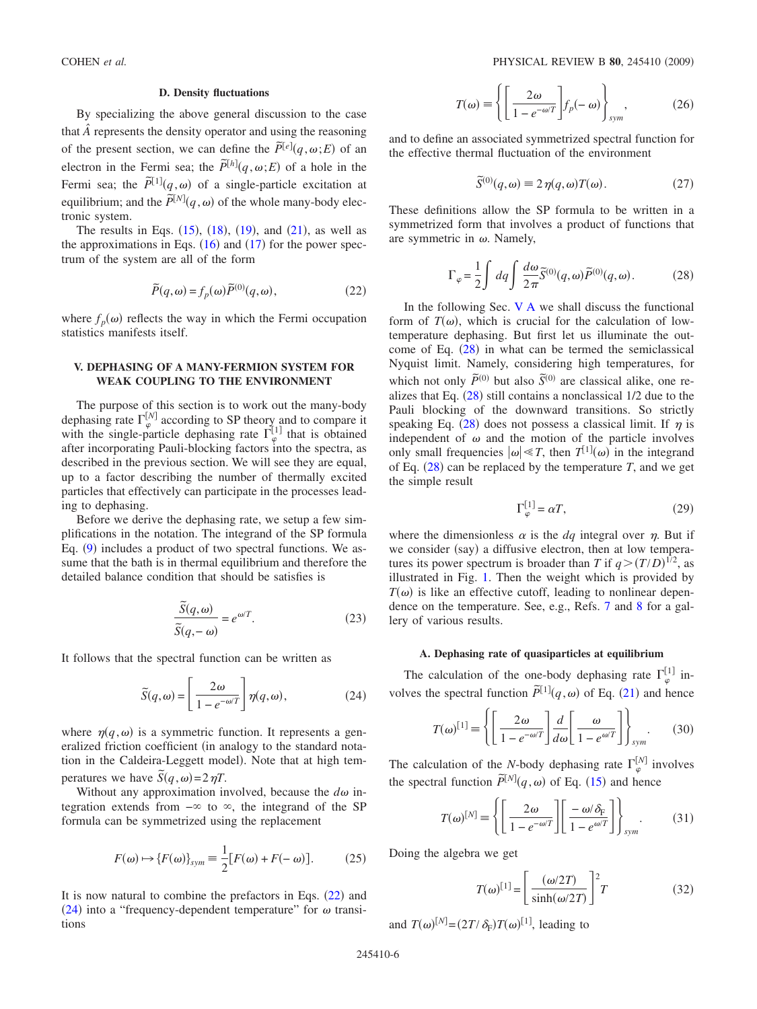## **D. Density fluctuations**

By specializing the above general discussion to the case that  $\hat{A}$  represents the density operator and using the reasoning of the present section, we can define the  $\tilde{P}^{[e]}(q,\omega;E)$  of an electron in the Fermi sea; the  $\tilde{P}^{[h]}(q,\omega;E)$  of a hole in the Fermi sea; the  $\tilde{P}^{[1]}(q,\omega)$  of a single-particle excitation at equilibrium; and the  $\tilde{P}^{[N]}(q,\omega)$  of the whole many-body electronic system.

The results in Eqs.  $(15)$  $(15)$  $(15)$ ,  $(18)$  $(18)$  $(18)$ ,  $(19)$  $(19)$  $(19)$ , and  $(21)$  $(21)$  $(21)$ , as well as the approximations in Eqs.  $(16)$  $(16)$  $(16)$  and  $(17)$  $(17)$  $(17)$  for the power spectrum of the system are all of the form

$$
\widetilde{P}(q,\omega) = f_p(\omega)\widetilde{P}^{(0)}(q,\omega),\tag{22}
$$

<span id="page-5-1"></span>where  $f_p(\omega)$  reflects the way in which the Fermi occupation statistics manifests itself.

## <span id="page-5-0"></span>**V. DEPHASING OF A MANY-FERMION SYSTEM FOR WEAK COUPLING TO THE ENVIRONMENT**

The purpose of this section is to work out the many-body dephasing rate  $\Gamma_{\varphi}^{[N]}$  according to SP theory and to compare it with the single-particle dephasing rate  $\Gamma_{\varphi}^{[1]}$  that is obtained after incorporating Pauli-blocking factors into the spectra, as described in the previous section. We will see they are equal, up to a factor describing the number of thermally excited particles that effectively can participate in the processes leading to dephasing.

Before we derive the dephasing rate, we setup a few simplifications in the notation. The integrand of the SP formula Eq. ([9](#page-2-2)) includes a product of two spectral functions. We assume that the bath is in thermal equilibrium and therefore the detailed balance condition that should be satisfies is

$$
\frac{\widetilde{S}(q,\omega)}{\widetilde{S}(q,-\omega)} = e^{\omega/T}.
$$
\n(23)

<span id="page-5-2"></span>It follows that the spectral function can be written as

$$
\widetilde{S}(q,\omega) = \left[\frac{2\omega}{1 - e^{-\omega/T}}\right] \eta(q,\omega),\tag{24}
$$

where  $\eta(q,\omega)$  is a symmetric function. It represents a generalized friction coefficient (in analogy to the standard notation in the Caldeira-Leggett model). Note that at high temperatures we have  $\tilde{S}(q,\omega) = 2 \eta T$ .

Without any approximation involved, because the  $d\omega$  integration extends from  $-\infty$  to  $\infty$ , the integrand of the SP formula can be symmetrized using the replacement

$$
F(\omega) \mapsto \{F(\omega)\}_{sym} \equiv \frac{1}{2} [F(\omega) + F(-\omega)].
$$
 (25)

It is now natural to combine the prefactors in Eqs.  $(22)$  $(22)$  $(22)$  and ([24](#page-5-2)) into a "frequency-dependent temperature" for  $\omega$  transitions

$$
T(\omega) \equiv \left\{ \left[ \frac{2\omega}{1 - e^{-\omega/T}} \right] f_p(-\omega) \right\}_{sym},
$$
 (26)

and to define an associated symmetrized spectral function for the effective thermal fluctuation of the environment

$$
\widetilde{S}^{(0)}(q,\omega) \equiv 2\,\eta(q,\omega)T(\omega). \tag{27}
$$

These definitions allow the SP formula to be written in a symmetrized form that involves a product of functions that are symmetric in  $\omega$ . Namely,

$$
\Gamma_{\varphi} = \frac{1}{2} \int dq \int \frac{d\omega}{2\pi} \widetilde{S}^{(0)}(q,\omega) \widetilde{P}^{(0)}(q,\omega).
$$
 (28)

<span id="page-5-4"></span>In the following Sec.  $V A$  we shall discuss the functional form of  $T(\omega)$ , which is crucial for the calculation of lowtemperature dephasing. But first let us illuminate the outcome of Eq.  $(28)$  $(28)$  $(28)$  in what can be termed the semiclassical Nyquist limit. Namely, considering high temperatures, for which not only  $\tilde{P}^{(0)}$  but also  $\tilde{S}^{(0)}$  are classical alike, one realizes that Eq.  $(28)$  $(28)$  $(28)$  still contains a nonclassical 1/2 due to the Pauli blocking of the downward transitions. So strictly speaking Eq. ([28](#page-5-4)) does not possess a classical limit. If  $\eta$  is independent of  $\omega$  and the motion of the particle involves only small frequencies  $|\omega| \ll T$ , then  $T^{[1]}(\omega)$  in the integrand of Eq.  $(28)$  $(28)$  $(28)$  can be replaced by the temperature *T*, and we get the simple result

$$
\Gamma_{\varphi}^{[1]} = \alpha T,\tag{29}
$$

where the dimensionless  $\alpha$  is the *dq* integral over  $\eta$ . But if we consider (say) a diffusive electron, then at low temperatures its power spectrum is broader than *T* if  $q > (T/D)^{1/2}$ , as illustrated in Fig. [1.](#page-4-0) Then the weight which is provided by  $T(\omega)$  is like an effective cutoff, leading to nonlinear dependence on the temperature. See, e.g., Refs. [7](#page-10-3) and [8](#page-10-14) for a gallery of various results.

## **A. Dephasing rate of quasiparticles at equilibrium**

<span id="page-5-3"></span>The calculation of the one-body dephasing rate  $\Gamma_{\varphi}^{[1]}$  involves the spectral function  $\tilde{P}^{[1]}(q,\omega)$  of Eq. ([21](#page-4-2)) and hence

$$
T(\omega)^{[1]} = \left\{ \left[ \frac{2\omega}{1 - e^{-\omega/T}} \right] \frac{d}{d\omega} \left[ \frac{\omega}{1 - e^{\omega/T}} \right] \right\}_{sym}.
$$
 (30)

The calculation of the *N*-body dephasing rate  $\Gamma_{\varphi}^{[N]}$  involves the spectral function  $\tilde{P}^{[N]}(q,\omega)$  of Eq. ([15](#page-3-2)) and hence

$$
T(\omega)^{[N]} = \left\{ \left[ \frac{2\omega}{1 - e^{-\omega/T}} \right] \left[ \frac{-\omega/\delta_{\rm F}}{1 - e^{\omega/T}} \right] \right\}_{sym}.
$$
 (31)

Doing the algebra we get

$$
T(\omega)^{[1]} = \left[\frac{(\omega/2T)}{\sinh(\omega/2T)}\right]^2 T
$$
 (32)

and  $T(\omega)^{[N]} = (2T/\delta_F)T(\omega)^{[1]}$ , leading to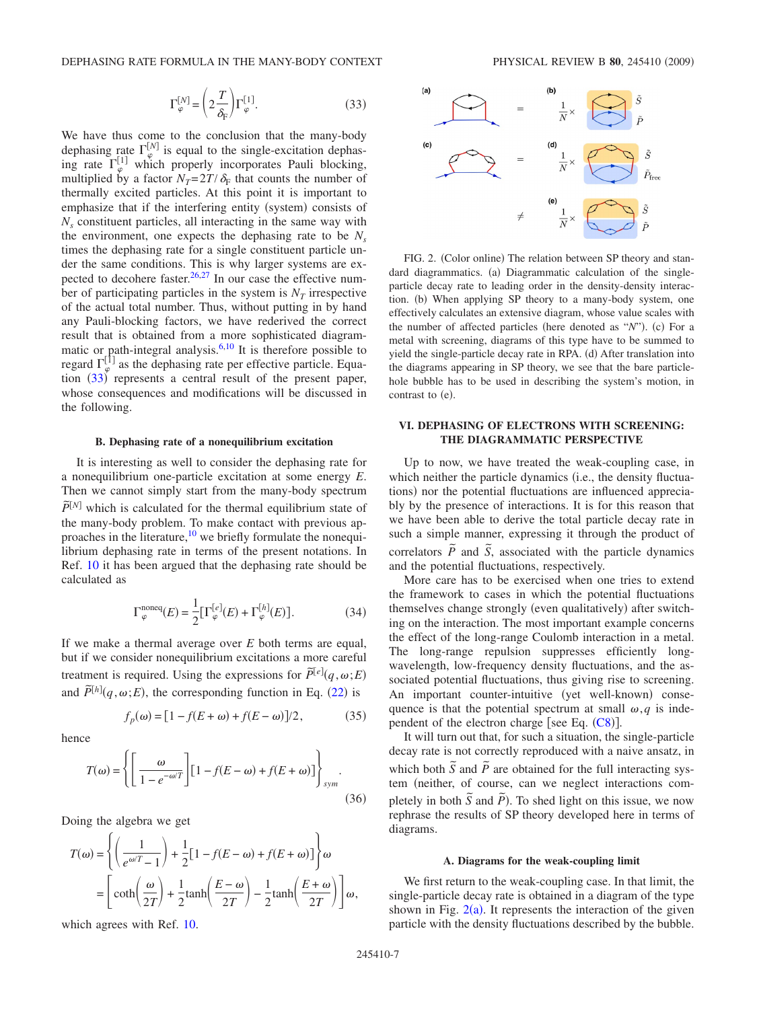$$
\Gamma_{\varphi}^{[N]} = \left(2 \frac{T}{\delta_{\rm F}}\right) \Gamma_{\varphi}^{[1]}.
$$
 (33)

<span id="page-6-1"></span>We have thus come to the conclusion that the many-body dephasing rate  $\Gamma_{\varphi}^{[N]}$  is equal to the single-excitation dephasing rate  $\Gamma_{\varphi}^{[1]}$  which properly incorporates Pauli blocking, multiplied by a factor  $N_T = 2T/\delta_F$  that counts the number of thermally excited particles. At this point it is important to emphasize that if the interfering entity (system) consists of *Ns* constituent particles, all interacting in the same way with the environment, one expects the dephasing rate to be  $N_s$ times the dephasing rate for a single constituent particle under the same conditions. This is why larger systems are expected to decohere faster. $26,27$  $26,27$  In our case the effective number of participating particles in the system is  $N<sub>T</sub>$  irrespective of the actual total number. Thus, without putting in by hand any Pauli-blocking factors, we have rederived the correct result that is obtained from a more sophisticated diagrammatic or path-integral analysis. $6,10$  $6,10$  It is therefore possible to regard  $\Gamma_{\varphi}^{[1]}$  as the dephasing rate per effective particle. Equation  $(33)$  $(33)$  $(33)$  represents a central result of the present paper, whose consequences and modifications will be discussed in the following.

#### **B. Dephasing rate of a nonequilibrium excitation**

It is interesting as well to consider the dephasing rate for a nonequilibrium one-particle excitation at some energy *E*. Then we cannot simply start from the many-body spectrum  $\tilde{P}^{[N]}$  which is calculated for the thermal equilibrium state of the many-body problem. To make contact with previous approaches in the literature, $10$  we briefly formulate the nonequilibrium dephasing rate in terms of the present notations. In Ref. [10](#page-10-4) it has been argued that the dephasing rate should be calculated as

$$
\Gamma_{\varphi}^{\text{noneq}}(E) = \frac{1}{2} [\Gamma_{\varphi}^{[e]}(E) + \Gamma_{\varphi}^{[h]}(E)]. \tag{34}
$$

If we make a thermal average over *E* both terms are equal, but if we consider nonequilibrium excitations a more careful treatment is required. Using the expressions for  $\tilde{P}^{[e]}(q,\omega;E)$ and  $\tilde{P}^{[h]}(q,\omega;E)$ , the corresponding function in Eq. ([22](#page-5-1)) is

$$
f_p(\omega) = [1 - f(E + \omega) + f(E - \omega)]/2, \qquad (35)
$$

hence

$$
T(\omega) = \left\{ \left[ \frac{\omega}{1 - e^{-\omega/T}} \right] \left[ 1 - f(E - \omega) + f(E + \omega) \right] \right\}_{sym}.
$$
\n(36)

Doing the algebra we get

$$
T(\omega) = \left\{ \left( \frac{1}{e^{\omega/T} - 1} \right) + \frac{1}{2} [1 - f(E - \omega) + f(E + \omega)] \right\} \omega
$$
  
= 
$$
\left[ \coth \left( \frac{\omega}{2T} \right) + \frac{1}{2} \tanh \left( \frac{E - \omega}{2T} \right) - \frac{1}{2} \tanh \left( \frac{E + \omega}{2T} \right) \right] \omega,
$$

which agrees with Ref. [10.](#page-10-4)

<span id="page-6-2"></span>

FIG. 2. (Color online) The relation between SP theory and standard diagrammatics. (a) Diagrammatic calculation of the singleparticle decay rate to leading order in the density-density interaction. (b) When applying SP theory to a many-body system, one effectively calculates an extensive diagram, whose value scales with the number of affected particles (here denoted as "N"). (c) For a metal with screening, diagrams of this type have to be summed to yield the single-particle decay rate in RPA. (d) After translation into the diagrams appearing in SP theory, we see that the bare particlehole bubble has to be used in describing the system's motion, in contrast to (e).

# <span id="page-6-0"></span>**VI. DEPHASING OF ELECTRONS WITH SCREENING: THE DIAGRAMMATIC PERSPECTIVE**

Up to now, we have treated the weak-coupling case, in which neither the particle dynamics (i.e., the density fluctuations) nor the potential fluctuations are influenced appreciably by the presence of interactions. It is for this reason that we have been able to derive the total particle decay rate in such a simple manner, expressing it through the product of correlators  $\tilde{P}$  and  $\tilde{S}$ , associated with the particle dynamics and the potential fluctuations, respectively.

More care has to be exercised when one tries to extend the framework to cases in which the potential fluctuations themselves change strongly (even qualitatively) after switching on the interaction. The most important example concerns the effect of the long-range Coulomb interaction in a metal. The long-range repulsion suppresses efficiently longwavelength, low-frequency density fluctuations, and the associated potential fluctuations, thus giving rise to screening. An important counter-intuitive (yet well-known) consequence is that the potential spectrum at small  $\omega$ , *q* is independent of the electron charge [see Eq.  $(C8)$  $(C8)$  $(C8)$ ].

It will turn out that, for such a situation, the single-particle decay rate is not correctly reproduced with a naive ansatz, in which both  $\tilde{S}$  and  $\tilde{P}$  are obtained for the full interacting system (neither, of course, can we neglect interactions completely in both  $\tilde{S}$  and  $\tilde{P}$ ). To shed light on this issue, we now rephrase the results of SP theory developed here in terms of diagrams.

#### **A. Diagrams for the weak-coupling limit**

We first return to the weak-coupling case. In that limit, the single-particle decay rate is obtained in a diagram of the type shown in Fig.  $2(a)$  $2(a)$ . It represents the interaction of the given particle with the density fluctuations described by the bubble.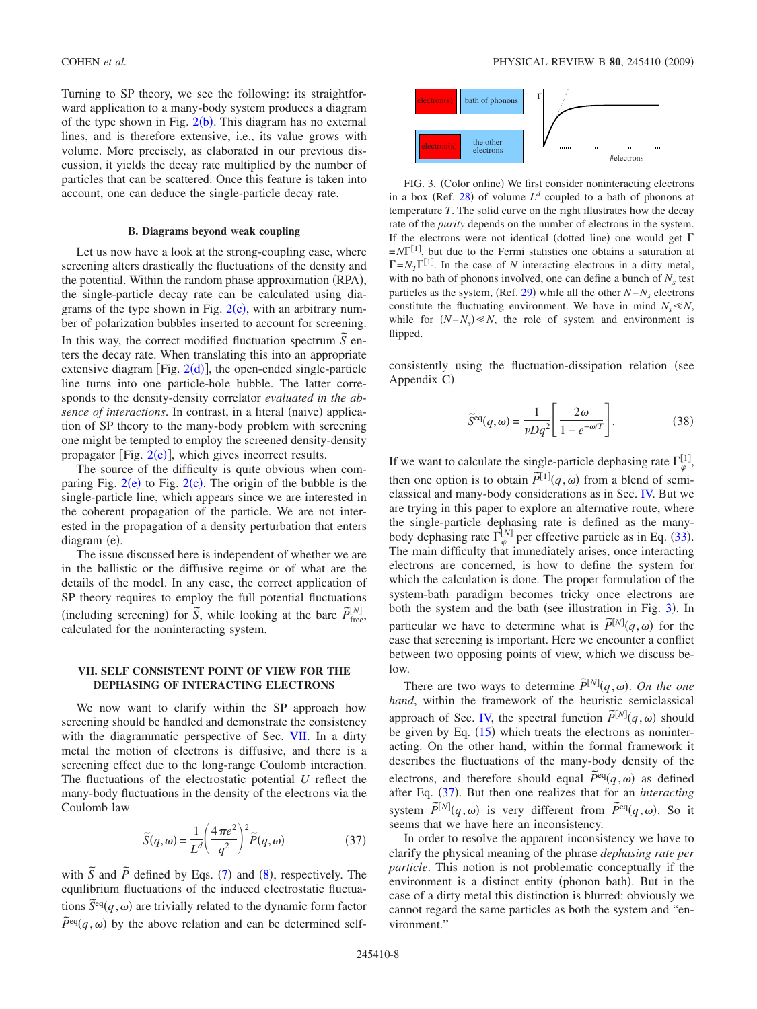Turning to SP theory, we see the following: its straightforward application to a many-body system produces a diagram of the type shown in Fig.  $2(b)$  $2(b)$ . This diagram has no external lines, and is therefore extensive, i.e., its value grows with volume. More precisely, as elaborated in our previous discussion, it yields the decay rate multiplied by the number of particles that can be scattered. Once this feature is taken into account, one can deduce the single-particle decay rate.

#### **B. Diagrams beyond weak coupling**

Let us now have a look at the strong-coupling case, where screening alters drastically the fluctuations of the density and the potential. Within the random phase approximation (RPA), the single-particle decay rate can be calculated using diagrams of the type shown in Fig.  $2(c)$  $2(c)$ , with an arbitrary number of polarization bubbles inserted to account for screening. In this way, the correct modified fluctuation spectrum  $\tilde{S}$  enters the decay rate. When translating this into an appropriate extensive diagram [Fig.  $2(d)$  $2(d)$ ], the open-ended single-particle line turns into one particle-hole bubble. The latter corresponds to the density-density correlator *evaluated in the ab*sence of interactions. In contrast, in a literal (naive) application of SP theory to the many-body problem with screening one might be tempted to employ the screened density-density propagator [Fig.  $2(e)$  $2(e)$ ], which gives incorrect results.

The source of the difficulty is quite obvious when comparing Fig.  $2(e)$  $2(e)$  to Fig.  $2(c)$ . The origin of the bubble is the single-particle line, which appears since we are interested in the coherent propagation of the particle. We are not interested in the propagation of a density perturbation that enters diagram (e).

The issue discussed here is independent of whether we are in the ballistic or the diffusive regime or of what are the details of the model. In any case, the correct application of SP theory requires to employ the full potential fluctuations  $\overline{P}$  increases the energy are the personal interactions of  $\overline{S}$ , while looking at the bare  $\overline{P}^{[N]}_{\text{free}}$ calculated for the noninteracting system.

# <span id="page-7-0"></span>**VII. SELF CONSISTENT POINT OF VIEW FOR THE DEPHASING OF INTERACTING ELECTRONS**

We now want to clarify within the SP approach how screening should be handled and demonstrate the consistency with the diagrammatic perspective of Sec. [VII.](#page-7-0) In a dirty metal the motion of electrons is diffusive, and there is a screening effect due to the long-range Coulomb interaction. The fluctuations of the electrostatic potential *U* reflect the many-body fluctuations in the density of the electrons via the Coulomb law

$$
\widetilde{S}(q,\omega) = \frac{1}{L^d} \left(\frac{4\pi e^2}{q^2}\right)^2 \widetilde{P}(q,\omega)
$$
\n(37)

<span id="page-7-2"></span>with  $\tilde{S}$  and  $\tilde{P}$  defined by Eqs. ([7](#page-2-3)) and ([8](#page-2-1)), respectively. The equilibrium fluctuations of the induced electrostatic fluctua- $\tilde{S}^{\text{eq}}(q,\omega)$  are trivially related to the dynamic form factor  $\tilde{P}^{\text{eq}}(q,\omega)$  by the above relation and can be determined self-

<span id="page-7-1"></span>

FIG. 3. (Color online) We first consider noninteracting electrons in a box (Ref. [28](#page-10-26)) of volume  $L^d$  coupled to a bath of phonons at temperature *T*. The solid curve on the right illustrates how the decay rate of the *purity* depends on the number of electrons in the system. If the electrons were not identical (dotted line) one would get  $\Gamma$  $=N\Gamma^{[1]}$ , but due to the Fermi statistics one obtains a saturation at  $\Gamma = N_T \Gamma^{[1]}$ . In the case of *N* interacting electrons in a dirty metal, with no bath of phonons involved, one can define a bunch of  $N<sub>s</sub>$  test particles as the system, (Ref. [29](#page-10-27)) while all the other *N*−*N<sub>s</sub>* electrons constitute the fluctuating environment. We have in mind  $N_s \ll N$ , while for  $(N - N_s) \ll N$ , the role of system and environment is flipped.

consistently using the fluctuation-dissipation relation (see Appendix C)

$$
\widetilde{S}^{\text{eq}}(q,\omega) = \frac{1}{\nu Dq^2} \left[ \frac{2\omega}{1 - e^{-\omega/T}} \right].
$$
 (38)

If we want to calculate the single-particle dephasing rate  $\Gamma_{\varphi}^{[1]}$ , then one option is to obtain  $\tilde{P}^{[1]}(q,\omega)$  from a blend of semiclassical and many-body considerations as in Sec. [IV.](#page-3-0) But we are trying in this paper to explore an alternative route, where the single-particle dephasing rate is defined as the manybody dephasing rate  $\Gamma_{\varphi}^{[N]}$  per effective particle as in Eq. ([33](#page-6-1)). The main difficulty that immediately arises, once interacting electrons are concerned, is how to define the system for which the calculation is done. The proper formulation of the system-bath paradigm becomes tricky once electrons are both the system and the bath (see illustration in Fig. [3](#page-7-1)). In particular we have to determine what is  $\tilde{P}^{[N]}(q,\omega)$  for the case that screening is important. Here we encounter a conflict between two opposing points of view, which we discuss below.

There are two ways to determine  $\tilde{P}^{[N]}(q,\omega)$ . On the one *hand*, within the framework of the heuristic semiclassical approach of Sec. [IV,](#page-3-0) the spectral function  $\tilde{P}^{[N]}(q,\omega)$  should be given by Eq.  $(15)$  $(15)$  $(15)$  which treats the electrons as noninteracting. On the other hand, within the formal framework it describes the fluctuations of the many-body density of the electrons, and therefore should equal  $\tilde{P}^{eq}(q,\omega)$  as defined after Eq. ([37](#page-7-2)). But then one realizes that for an *interacting* system  $\tilde{P}^{[N]}(q,\omega)$  is very different from  $\tilde{P}^{eq}(q,\omega)$ . So it seems that we have here an inconsistency.

In order to resolve the apparent inconsistency we have to clarify the physical meaning of the phrase *dephasing rate per particle*. This notion is not problematic conceptually if the environment is a distinct entity (phonon bath). But in the case of a dirty metal this distinction is blurred: obviously we cannot regard the same particles as both the system and "environment."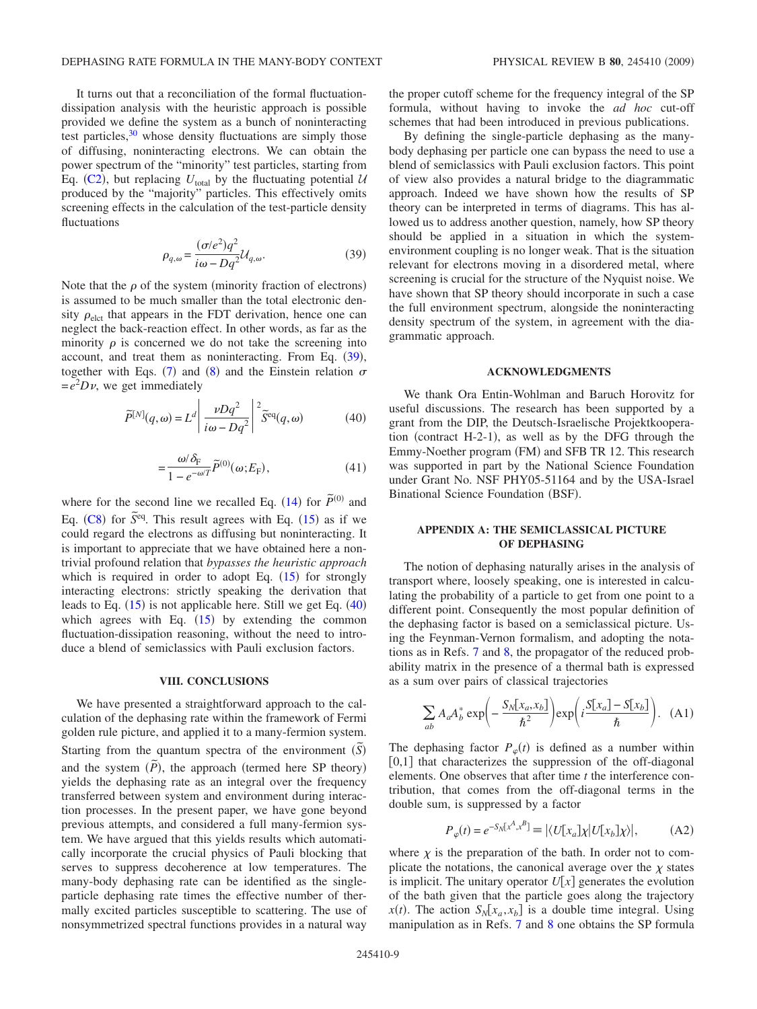It turns out that a reconciliation of the formal fluctuationdissipation analysis with the heuristic approach is possible provided we define the system as a bunch of noninteracting test particles, $30$  whose density fluctuations are simply those of diffusing, noninteracting electrons. We can obtain the power spectrum of the "minority" test particles, starting from Eq. ([C2](#page-9-2)), but replacing  $U_{total}$  by the fluctuating potential  $U_{total}$ produced by the "majority" particles. This effectively omits screening effects in the calculation of the test-particle density fluctuations

$$
\rho_{q,\omega} = \frac{(\sigma/e^2)q^2}{i\omega - Dq^2} \mathcal{U}_{q,\omega}.
$$
\n(39)

<span id="page-8-0"></span>Note that the  $\rho$  of the system (minority fraction of electrons) is assumed to be much smaller than the total electronic density  $\rho_{\text{elct}}$  that appears in the FDT derivation, hence one can neglect the back-reaction effect. In other words, as far as the minority  $\rho$  is concerned we do not take the screening into account, and treat them as noninteracting. From Eq. ([39](#page-8-0)), together with Eqs. ([7](#page-2-3)) and ([8](#page-2-1)) and the Einstein relation  $\sigma$  $=e^2D\nu$ , we get immediately

<span id="page-8-1"></span>
$$
\widetilde{P}^{[N]}(q,\omega) = L^d \left| \frac{\nu Dq^2}{i\omega - Dq^2} \right|^2 \widetilde{S}^{\text{eq}}(q,\omega) \tag{40}
$$

$$
=\frac{\omega/\delta_{\mathrm{F}}}{1-e^{-\omega/T}}\widetilde{P}^{(0)}(\omega;E_{\mathrm{F}}),\tag{41}
$$

where for the second line we recalled Eq. ([14](#page-3-3)) for  $\tilde{P}^{(0)}$  and Eq.  $(C8)$  $(C8)$  $(C8)$  for  $\tilde{S}^{eq}$ . This result agrees with Eq.  $(15)$  $(15)$  $(15)$  as if we could regard the electrons as diffusing but noninteracting. It is important to appreciate that we have obtained here a nontrivial profound relation that *bypasses the heuristic approach* which is required in order to adopt Eq.  $(15)$  $(15)$  $(15)$  for strongly interacting electrons: strictly speaking the derivation that leads to Eq.  $(15)$  $(15)$  $(15)$  is not applicable here. Still we get Eq.  $(40)$  $(40)$  $(40)$ which agrees with Eq.  $(15)$  $(15)$  $(15)$  by extending the common fluctuation-dissipation reasoning, without the need to introduce a blend of semiclassics with Pauli exclusion factors.

### **VIII. CONCLUSIONS**

We have presented a straightforward approach to the calculation of the dephasing rate within the framework of Fermi golden rule picture, and applied it to a many-fermion system. Starting from the quantum spectra of the environment  $(\tilde{S})$ and the system  $(\tilde{P})$ , the approach (termed here SP theory) yields the dephasing rate as an integral over the frequency transferred between system and environment during interaction processes. In the present paper, we have gone beyond previous attempts, and considered a full many-fermion system. We have argued that this yields results which automatically incorporate the crucial physics of Pauli blocking that serves to suppress decoherence at low temperatures. The many-body dephasing rate can be identified as the singleparticle dephasing rate times the effective number of thermally excited particles susceptible to scattering. The use of nonsymmetrized spectral functions provides in a natural way the proper cutoff scheme for the frequency integral of the SP formula, without having to invoke the *ad hoc* cut-off schemes that had been introduced in previous publications.

By defining the single-particle dephasing as the manybody dephasing per particle one can bypass the need to use a blend of semiclassics with Pauli exclusion factors. This point of view also provides a natural bridge to the diagrammatic approach. Indeed we have shown how the results of SP theory can be interpreted in terms of diagrams. This has allowed us to address another question, namely, how SP theory should be applied in a situation in which the systemenvironment coupling is no longer weak. That is the situation relevant for electrons moving in a disordered metal, where screening is crucial for the structure of the Nyquist noise. We have shown that SP theory should incorporate in such a case the full environment spectrum, alongside the noninteracting density spectrum of the system, in agreement with the diagrammatic approach.

## **ACKNOWLEDGMENTS**

We thank Ora Entin-Wohlman and Baruch Horovitz for useful discussions. The research has been supported by a grant from the DIP, the Deutsch-Israelische Projektkooperation (contract  $H-2-1$ ), as well as by the DFG through the Emmy-Noether program (FM) and SFB TR 12. This research was supported in part by the National Science Foundation under Grant No. NSF PHY05-51164 and by the USA-Israel Binational Science Foundation (BSF).

## **APPENDIX A: THE SEMICLASSICAL PICTURE OF DEPHASING**

The notion of dephasing naturally arises in the analysis of transport where, loosely speaking, one is interested in calculating the probability of a particle to get from one point to a different point. Consequently the most popular definition of the dephasing factor is based on a semiclassical picture. Using the Feynman-Vernon formalism, and adopting the notations as in Refs. [7](#page-10-3) and [8,](#page-10-14) the propagator of the reduced probability matrix in the presence of a thermal bath is expressed as a sum over pairs of classical trajectories

$$
\sum_{ab} A_a A_b^* \exp\left(-\frac{S_N[x_a, x_b]}{\hbar^2}\right) \exp\left(i\frac{S[x_a] - S[x_b]}{\hbar}\right). \quad (A1)
$$

The dephasing factor  $P_{\varphi}(t)$  is defined as a number within  $[0,1]$  that characterizes the suppression of the off-diagonal elements. One observes that after time *t* the interference contribution, that comes from the off-diagonal terms in the double sum, is suppressed by a factor

$$
P_{\varphi}(t) = e^{-S_N[x^A, x^B]} \equiv |\langle U[x_a] \chi | U[x_b] \chi \rangle|, \tag{A2}
$$

where  $\chi$  is the preparation of the bath. In order not to complicate the notations, the canonical average over the  $\chi$  states is implicit. The unitary operator  $U[x]$  generates the evolution of the bath given that the particle goes along the trajectory  $x(t)$ . The action  $S_N[x_a, x_b]$  is a double time integral. Using manipulation as in Refs. [7](#page-10-3) and [8](#page-10-14) one obtains the SP formula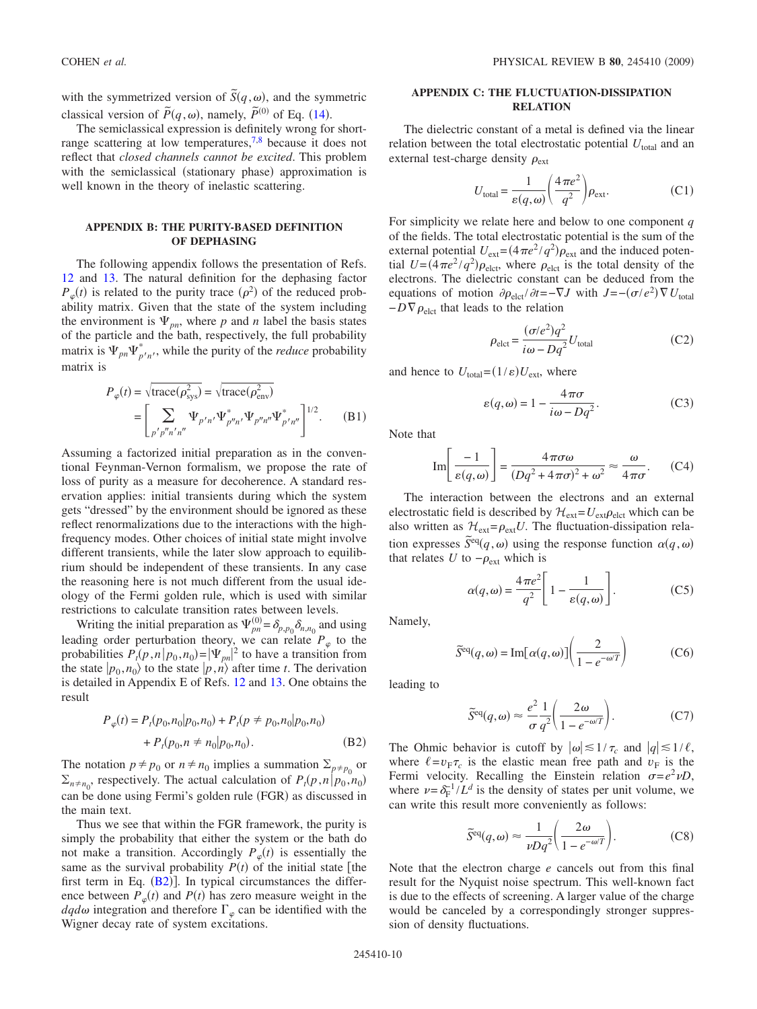with the symmetrized version of  $\tilde{S}(q,\omega)$ , and the symmetric classical version of  $\tilde{P}(q,\omega)$ , namely,  $\tilde{P}^{(0)}$  of Eq. ([14](#page-3-3)).

The semiclassical expression is definitely wrong for shortrange scattering at low temperatures,  $7.8$  $7.8$  because it does not reflect that *closed channels cannot be excited*. This problem with the semiclassical (stationary phase) approximation is well known in the theory of inelastic scattering.

# **APPENDIX B: THE PURITY-BASED DEFINITION OF DEPHASING**

The following appendix follows the presentation of Refs. [12](#page-10-7) and [13.](#page-10-8) The natural definition for the dephasing factor  $P_{\varphi}(t)$  is related to the purity trace  $(\rho^2)$  of the reduced probability matrix. Given that the state of the system including the environment is  $\Psi_{pn}$ , where p and n label the basis states of the particle and the bath, respectively, the full probability matrix is  $\Psi_{pn}\Psi_{p'n'}^*$ , while the purity of the *reduce* probability matrix is

$$
P_{\varphi}(t) = \sqrt{\text{trace}(\rho_{\text{sys}}^2)} = \sqrt{\text{trace}(\rho_{\text{env}}^2)}
$$
  
= 
$$
\left[\sum_{p'p''n'n''} \Psi_{p''n'} \Psi_{p''n''} \Psi_{p''n''}^* \Psi_{p''n''}^* \right]^{1/2}.
$$
 (B1)

Assuming a factorized initial preparation as in the conventional Feynman-Vernon formalism, we propose the rate of loss of purity as a measure for decoherence. A standard reservation applies: initial transients during which the system gets "dressed" by the environment should be ignored as these reflect renormalizations due to the interactions with the highfrequency modes. Other choices of initial state might involve different transients, while the later slow approach to equilibrium should be independent of these transients. In any case the reasoning here is not much different from the usual ideology of the Fermi golden rule, which is used with similar restrictions to calculate transition rates between levels.

Writing the initial preparation as  $\Psi_{pn}^{(0)} = \delta_{p,p_0} \delta_{n,n_0}$  and using leading order perturbation theory, we can relate  $P_{\varphi}$  to the probabilities  $P_t(p, n | p_0, n_0) = |\Psi_{pn}|^2$  to have a transition from the state  $|p_0, n_0\rangle$  to the state  $|p, n\rangle$  after time *t*. The derivation is detailed in Appendix E of Refs. [12](#page-10-7) and [13.](#page-10-8) One obtains the result

<span id="page-9-0"></span>
$$
P_{\varphi}(t) = P_t(p_0, n_0 | p_0, n_0) + P_t(p \neq p_0, n_0 | p_0, n_0)
$$
  
+  $P_t(p_0, n \neq n_0 | p_0, n_0).$  (B2)

The notation  $p \neq p_0$  or  $n \neq n_0$  implies a summation  $\Sigma_{p \neq p_0}$  or  $\Sigma_{n \neq n_0}$ , respectively. The actual calculation of  $P_t(p, n | p_0, n_0)$ can be done using Fermi's golden rule (FGR) as discussed in the main text.

Thus we see that within the FGR framework, the purity is simply the probability that either the system or the bath do not make a transition. Accordingly  $P_{\varphi}(t)$  is essentially the same as the survival probability  $P(t)$  of the initial state [the first term in Eq.  $(B2)$  $(B2)$  $(B2)$ ]. In typical circumstances the difference between  $P_{\varphi}(t)$  and  $P(t)$  has zero measure weight in the  $dqd\omega$  integration and therefore  $\Gamma_{\varphi}$  can be identified with the Wigner decay rate of system excitations.

# **APPENDIX C: THE FLUCTUATION-DISSIPATION RELATION**

The dielectric constant of a metal is defined via the linear relation between the total electrostatic potential  $U_{total}$  and an external test-charge density  $\rho_{\text{ext}}$ 

$$
U_{\text{total}} = \frac{1}{\varepsilon(q,\omega)} \left(\frac{4\pi e^2}{q^2}\right) \rho_{\text{ext}}.\tag{C1}
$$

For simplicity we relate here and below to one component *q* of the fields. The total electrostatic potential is the sum of the external potential  $U_{ext} = (4\pi e^2 / q^2) \rho_{ext}$  and the induced potential  $U = (4\pi e^2 / q^2) \rho_{\text{elct}}$ , where  $\rho_{\text{elct}}$  is the total density of the electrons. The dielectric constant can be deduced from the equations of motion  $\partial \rho_{\text{elct}}/\partial t = -\nabla J$  with  $J = -(\sigma/e^2) \nabla U_{\text{total}}$  $-D\nabla\rho_{\text{elct}}$  that leads to the relation

$$
\rho_{\text{elct}} = \frac{(\sigma/e^2)q^2}{i\omega - Dq^2} U_{\text{total}}
$$
\n(C2)

<span id="page-9-2"></span>and hence to  $U_{\text{total}} = (1/\varepsilon)U_{\text{ext}}$ , where

$$
\varepsilon(q,\omega) = 1 - \frac{4\pi\sigma}{i\omega - Dq^2}.
$$
 (C3)

Note that

$$
\operatorname{Im}\left[\frac{-1}{\varepsilon(q,\omega)}\right] = \frac{4\pi\sigma\omega}{(Dq^2 + 4\pi\sigma)^2 + \omega^2} \approx \frac{\omega}{4\pi\sigma}.
$$
 (C4)

The interaction between the electrons and an external electrostatic field is described by  $\mathcal{H}_{ext} = U_{ext} \rho_{elct}$  which can be also written as  $\mathcal{H}_{ext} = \rho_{ext}U$ . The fluctuation-dissipation relation expresses  $\widetilde{S}^{\text{eq}}(q,\omega)$  using the response function  $\alpha(q,\omega)$ that relates  $U$  to  $-\rho_{ext}$  which is

$$
\alpha(q,\omega) = \frac{4\pi e^2}{q^2} \left[ 1 - \frac{1}{\varepsilon(q,\omega)} \right].
$$
 (C5)

Namely,

$$
\widetilde{S}^{\text{eq}}(q,\omega) = \text{Im}[\alpha(q,\omega)] \left(\frac{2}{1 - e^{-\omega/T}}\right) \tag{C6}
$$

leading to

$$
\widetilde{S}^{\text{eq}}(q,\omega) \approx \frac{e^2}{\sigma} \frac{1}{q^2} \left( \frac{2\omega}{1 - e^{-\omega/T}} \right). \tag{C7}
$$

The Ohmic behavior is cutoff by  $|\omega| \leq 1/\tau_c$  and  $|q| \leq 1/\ell$ , where  $\ell = v_F \tau_c$  is the elastic mean free path and  $v_F$  is the Fermi velocity. Recalling the Einstein relation  $\sigma = e^2 \nu D$ , where  $\nu = \delta_F^{-1}/L^d$  is the density of states per unit volume, we can write this result more conveniently as follows:

$$
\tilde{S}^{\text{eq}}(q,\omega) \approx \frac{1}{\nu Dq^2} \left( \frac{2\omega}{1 - e^{-\omega/T}} \right). \tag{C8}
$$

<span id="page-9-1"></span>Note that the electron charge *e* cancels out from this final result for the Nyquist noise spectrum. This well-known fact is due to the effects of screening. A larger value of the charge would be canceled by a correspondingly stronger suppression of density fluctuations.